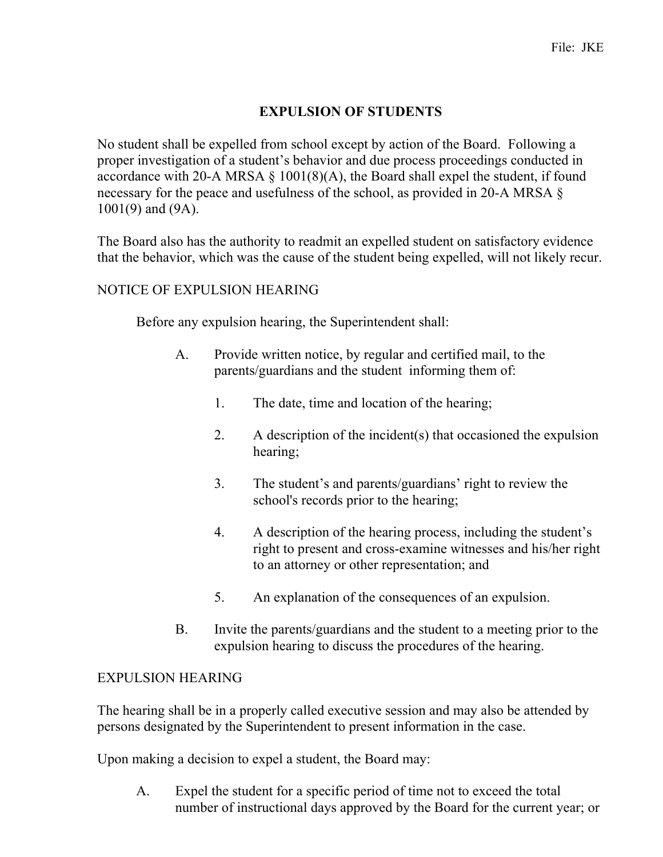## **EXPULSION OF STUDENTS**

No student shall be expelled from school except by action of the Board. Following a proper investigation of a student's behavior and due process proceedings conducted in accordance with 20-A MRSA  $\S$  1001(8)(A), the Board shall expel the student, if found necessary for the peace and usefulness of the school, as provided in 20-A MRSA § 1001(9) and (9A).

The Board also has the authority to readmit an expelled student on satisfactory evidence that the behavior, which was the cause of the student being expelled, will not likely recur.

## NOTICE OF EXPULSION HEARING

Before any expulsion hearing, the Superintendent shall:

- A. Provide written notice, by regular and certified mail, to the parents/guardians and the student informing them of:
	- 1. The date, time and location of the hearing;
	- 2. A description of the incident(s) that occasioned the expulsion hearing;
	- 3. The student's and parents/guardians' right to review the school's records prior to the hearing;
	- 4. A description of the hearing process, including the student's right to present and cross-examine witnesses and his/her right to an attorney or other representation; and
	- 5. An explanation of the consequences of an expulsion.
- B. Invite the parents/guardians and the student to a meeting prior to the expulsion hearing to discuss the procedures of the hearing.

## EXPULSION HEARING

The hearing shall be in a properly called executive session and may also be attended by persons designated by the Superintendent to present information in the case.

Upon making a decision to expel a student, the Board may:

A. Expel the student for a specific period of time not to exceed the total number of instructional days approved by the Board for the current year; or